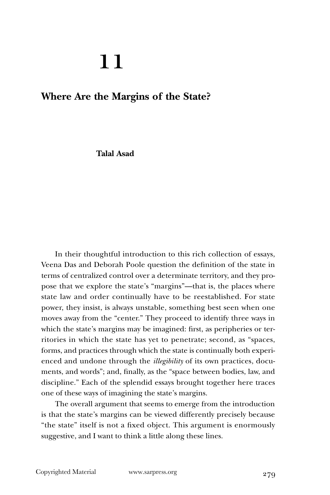# 11

## **Where Are the Margins of the State?**

**Talal Asad**

In their thoughtful introduction to this rich collection of essays, Veena Das and Deborah Poole question the definition of the state in terms of centralized control over a determinate territory, and they propose that we explore the state's "margins"—that is, the places where state law and order continually have to be reestablished. For state power, they insist, is always unstable, something best seen when one moves away from the "center." They proceed to identify three ways in which the state's margins may be imagined: first, as peripheries or territories in which the state has yet to penetrate; second, as "spaces, forms, and practices through which the state is continually both experienced and undone through the *illegibility* of its own practices, documents, and words"; and, finally, as the "space between bodies, law, and discipline." Each of the splendid essays brought together here traces one of these ways of imagining the state's margins.

The overall argument that seems to emerge from the introduction is that the state's margins can be viewed differently precisely because "the state" itself is not a fixed object. This argument is enormously suggestive, and I want to think a little along these lines.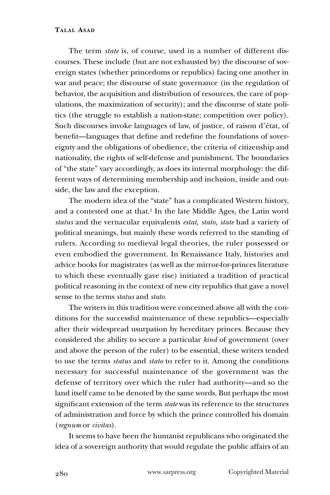The term *state* is, of course, used in a number of different discourses. These include (but are not exhausted by) the discourse of sovereign states (whether princedoms or republics) facing one another in war and peace; the discourse of state governance (in the regulation of behavior, the acquisition and distribution of resources, the care of populations, the maximization of security); and the discourse of state politics (the struggle to establish a nation-state; competition over policy). Such discourses invoke languages of law, of justice, of raison d'état, of benefit—languages that define and redefine the foundations of sovereignty and the obligations of obedience, the criteria of citizenship and nationality, the rights of self-defense and punishment. The boundaries of "the state" vary accordingly, as does its internal morphology: the different ways of determining membership and inclusion, inside and outside, the law and the exception.

The modern idea of the "state" has a complicated Western history, and a contested one at that.<sup>1</sup> In the late Middle Ages, the Latin word *status* and the vernacular equivalents *estat, stato, state* had a variety of political meanings, but mainly these words referred to the standing of rulers. According to medieval legal theories, the ruler possessed or even embodied the government. In Renaissance Italy, histories and advice books for magistrates (as well as the mirror-for-princes literature to which these eventually gave rise) initiated a tradition of practical political reasoning in the context of new city republics that gave a novel sense to the terms *status* and *stato.*

The writers in this tradition were concerned above all with the conditions for the successful maintenance of these republics—especially after their widespread usurpation by hereditary princes. Because they considered the ability to secure a particular *kind* of government (over and above the person of the ruler) to be essential, these writers tended to use the terms *status* and *stato* to refer to it. Among the conditions necessary for successful maintenance of the government was the defense of territory over which the ruler had authority—and so the land itself came to be denoted by the same words. But perhaps the most significant extension of the term *state* was its reference to the structures of administration and force by which the prince controlled his domain (*regnum* or *civitas*).

It seems to have been the humanist republicans who originated the idea of a sovereign authority that would regulate the public affairs of an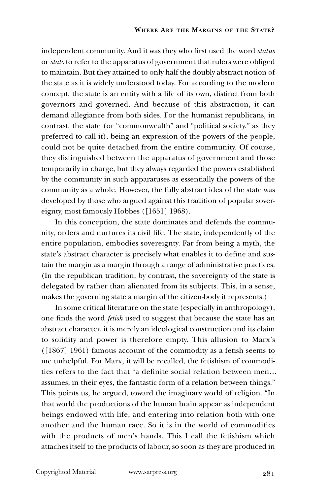independent community. And it was they who first used the word *status* or *stato* to refer to the apparatus of government that rulers were obliged to maintain. But they attained to only half the doubly abstract notion of the state as it is widely understood today. For according to the modern concept, the state is an entity with a life of its own, distinct from both governors and governed. And because of this abstraction, it can demand allegiance from both sides. For the humanist republicans, in contrast, the state (or "commonwealth" and "political society," as they preferred to call it), being an expression of the powers of the people, could not be quite detached from the entire community. Of course, they distinguished between the apparatus of government and those temporarily in charge, but they always regarded the powers established by the community in such apparatuses as essentially the powers of the community as a whole. However, the fully abstract idea of the state was developed by those who argued against this tradition of popular sovereignty, most famously Hobbes ([1651] 1968).

In this conception, the state dominates and defends the community, orders and nurtures its civil life. The state, independently of the entire population, embodies sovereignty. Far from being a myth, the state's abstract character is precisely what enables it to define and sustain the margin as a margin through a range of administrative practices. (In the republican tradition, by contrast, the sovereignty of the state is delegated by rather than alienated from its subjects. This, in a sense, makes the governing state a margin of the citizen-body it represents.)

In some critical literature on the state (especially in anthropology), one finds the word *fetish* used to suggest that because the state has an abstract character, it is merely an ideological construction and its claim to solidity and power is therefore empty. This allusion to Marx's ([1867] 1961) famous account of the commodity as a fetish seems to me unhelpful. For Marx, it will be recalled, the fetishism of commodities refers to the fact that "a definite social relation between men… assumes, in their eyes, the fantastic form of a relation between things." This points us, he argued, toward the imaginary world of religion. "In that world the productions of the human brain appear as independent beings endowed with life, and entering into relation both with one another and the human race. So it is in the world of commodities with the products of men's hands. This I call the fetishism which attaches itself to the products of labour, so soon as they are produced in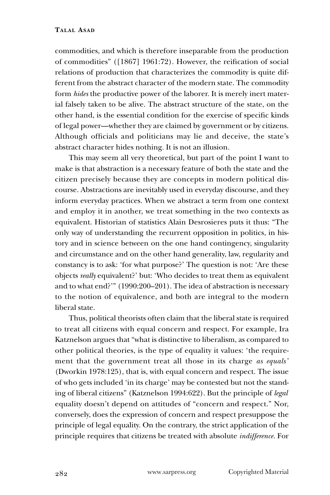### **TALAL ASAD**

commodities, and which is therefore inseparable from the production of commodities" ([1867] 1961:72). However, the reification of social relations of production that characterizes the commodity is quite different from the abstract character of the modern state. The commodity form *hides* the productive power of the laborer. It is merely inert material falsely taken to be alive. The abstract structure of the state, on the other hand, is the essential condition for the exercise of specific kinds of legal power—whether they are claimed by government or by citizens. Although officials and politicians may lie and deceive, the state's abstract character hides nothing. It is not an illusion.

This may seem all very theoretical, but part of the point I want to make is that abstraction is a necessary feature of both the state and the citizen precisely because they are concepts in modern political discourse. Abstractions are inevitably used in everyday discourse, and they inform everyday practices. When we abstract a term from one context and employ it in another, we treat something in the two contexts as equivalent. Historian of statistics Alain Desrosieres puts it thus: "The only way of understanding the recurrent opposition in politics, in history and in science between on the one hand contingency, singularity and circumstance and on the other hand generality, law, regularity and constancy is to ask: 'for what purpose?' The question is not: 'Are these objects *really* equivalent?' but: 'Who decides to treat them as equivalent and to what end?'" (1990:200–201). The idea of abstraction is necessary to the notion of equivalence, and both are integral to the modern liberal state.

Thus, political theorists often claim that the liberal state is required to treat all citizens with equal concern and respect. For example, Ira Katznelson argues that "what is distinctive to liberalism, as compared to other political theories, is the type of equality it values: 'the requirement that the government treat all those in its charge *as equals'* (Dworkin 1978:125), that is, with equal concern and respect. The issue of who gets included 'in its charge' may be contested but not the standing of liberal citizens" (Katznelson 1994:622). But the principle of *legal* equality doesn't depend on attitudes of "concern and respect." Nor, conversely, does the expression of concern and respect presuppose the principle of legal equality. On the contrary, the strict application of the principle requires that citizens be treated with absolute *indifference.* For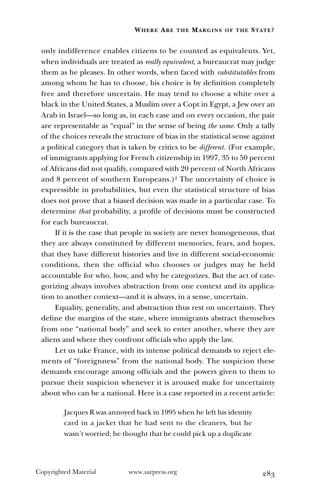only indifference enables citizens to be counted as equivalents. Yet, when individuals are treated as *really equivalent,* a bureaucrat may judge them as he pleases. In other words, when faced with *substitutables* from among whom he has to choose, his choice is by definition completely free and therefore uncertain. He may tend to choose a white over a black in the United States, a Muslim over a Copt in Egypt, a Jew over an Arab in Israel—so long as, in each case and on every occasion, the pair are representable as "equal" in the sense of being *the same.* Only a tally of the choices reveals the structure of bias in the statistical sense against a political category that is taken by critics to be *different.* (For example, of immigrants applying for French citizenship in 1997, 35 to 50 percent of Africans did not qualify, compared with 20 percent of North Africans and 8 percent of southern Europeans.)<sup>2</sup> The uncertainty of choice is expressible in probabilities, but even the statistical structure of bias does not prove that a biased decision was made in a particular case. To determine *that* probability, a profile of decisions must be constructed for each bureaucrat.

If it is the case that people in society are never homogeneous, that they are always constituted by different memories, fears, and hopes, that they have different histories and live in different social-economic conditions, then the official who chooses or judges may be held accountable for who, how, and why he categorizes. But the act of categorizing always involves abstraction from one context and its application to another context—and it is always, in a sense, uncertain.

Equality, generality, and abstraction thus rest on uncertainty. They define the margins of the state, where immigrants abstract themselves from one "national body" and seek to enter another, where they are aliens and where they confront officials who apply the law.

Let us take France, with its intense political demands to reject elements of "foreignness" from the national body. The suspicion these demands encourage among officials and the powers given to them to pursue their suspicion whenever it is aroused make for uncertainty about who can be a national. Here is a case reported in a recent article:

Jacques R was annoyed back in 1995 when he left his identity card in a jacket that he had sent to the cleaners, but he wasn't worried; he thought that he could pick up a duplicate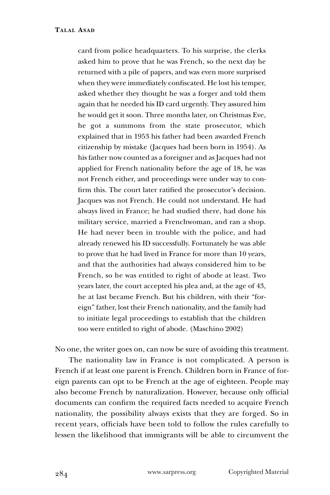card from police headquarters. To his surprise, the clerks asked him to prove that he was French, so the next day he returned with a pile of papers, and was even more surprised when they were immediately confiscated. He lost his temper, asked whether they thought he was a forger and told them again that he needed his ID card urgently. They assured him he would get it soon. Three months later, on Christmas Eve, he got a summons from the state prosecutor, which explained that in 1953 his father had been awarded French citizenship by mistake (Jacques had been born in 1954). As his father now counted as a foreigner and as Jacques had not applied for French nationality before the age of 18, he was not French either, and proceedings were under way to confirm this. The court later ratified the prosecutor's decision. Jacques was not French. He could not understand. He had always lived in France; he had studied there, had done his military service, married a Frenchwoman, and ran a shop. He had never been in trouble with the police, and had already renewed his ID successfully. Fortunately he was able to prove that he had lived in France for more than 10 years, and that the authorities had always considered him to be French, so he was entitled to right of abode at least. Two years later, the court accepted his plea and, at the age of 43, he at last became French. But his children, with their "foreign" father, lost their French nationality, and the family had to initiate legal proceedings to establish that the children too were entitled to right of abode. (Maschino 2002)

No one, the writer goes on, can now be sure of avoiding this treatment. The nationality law in France is not complicated. A person is French if at least one parent is French. Children born in France of foreign parents can opt to be French at the age of eighteen. People may also become French by naturalization. However, because only official documents can confirm the required facts needed to acquire French nationality, the possibility always exists that they are forged. So in recent years, officials have been told to follow the rules carefully to lessen the likelihood that immigrants will be able to circumvent the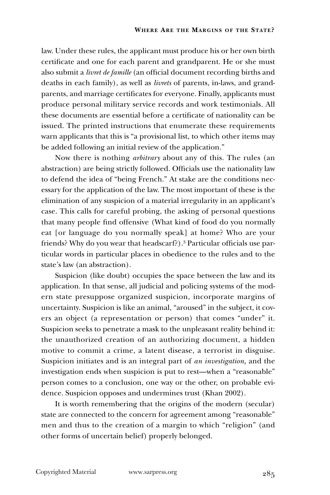law. Under these rules, the applicant must produce his or her own birth certificate and one for each parent and grandparent. He or she must also submit a *livret de famille* (an official document recording births and deaths in each family), as well as *livrets* of parents, in-laws, and grandparents, and marriage certificates for everyone. Finally, applicants must produce personal military service records and work testimonials. All these documents are essential before a certificate of nationality can be issued. The printed instructions that enumerate these requirements warn applicants that this is "a provisional list, to which other items may be added following an initial review of the application."

Now there is nothing *arbitrary* about any of this. The rules (an abstraction) are being strictly followed. Officials use the nationality law to defend the idea of "being French." At stake are the conditions necessary for the application of the law. The most important of these is the elimination of any suspicion of a material irregularity in an applicant's case. This calls for careful probing, the asking of personal questions that many people find offensive (What kind of food do you normally eat [or language do you normally speak] at home? Who are your friends? Why do you wear that headscarf?).3 Particular officials use particular words in particular places in obedience to the rules and to the state's law (an abstraction).

Suspicion (like doubt) occupies the space between the law and its application. In that sense, all judicial and policing systems of the modern state presuppose organized suspicion, incorporate margins of uncertainty. Suspicion is like an animal, "aroused" in the subject, it covers an object (a representation or person) that comes "under" it. Suspicion seeks to penetrate a mask to the unpleasant reality behind it: the unauthorized creation of an authorizing document, a hidden motive to commit a crime, a latent disease, a terrorist in disguise. Suspicion initiates and is an integral part of *an investigation,* and the investigation ends when suspicion is put to rest—when a "reasonable" person comes to a conclusion, one way or the other, on probable evidence. Suspicion opposes and undermines trust (Khan 2002).

It is worth remembering that the origins of the modern (secular) state are connected to the concern for agreement among "reasonable" men and thus to the creation of a margin to which "religion" (and other forms of uncertain belief) properly belonged.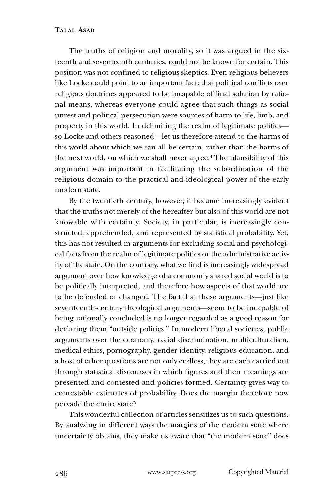The truths of religion and morality, so it was argued in the sixteenth and seventeenth centuries, could not be known for certain. This position was not confined to religious skeptics. Even religious believers like Locke could point to an important fact: that political conflicts over religious doctrines appeared to be incapable of final solution by rational means, whereas everyone could agree that such things as social unrest and political persecution were sources of harm to life, limb, and property in this world. In delimiting the realm of legitimate politics so Locke and others reasoned—let us therefore attend to the harms of this world about which we can all be certain, rather than the harms of the next world, on which we shall never agree.<sup>4</sup> The plausibility of this argument was important in facilitating the subordination of the religious domain to the practical and ideological power of the early modern state.

By the twentieth century, however, it became increasingly evident that the truths not merely of the hereafter but also of this world are not knowable with certainty. Society, in particular, is increasingly constructed, apprehended, and represented by statistical probability. Yet, this has not resulted in arguments for excluding social and psychological facts from the realm of legitimate politics or the administrative activity of the state. On the contrary, what we find is increasingly widespread argument over how knowledge of a commonly shared social world is to be politically interpreted, and therefore how aspects of that world are to be defended or changed. The fact that these arguments—just like seventeenth-century theological arguments—seem to be incapable of being rationally concluded is no longer regarded as a good reason for declaring them "outside politics." In modern liberal societies, public arguments over the economy, racial discrimination, multiculturalism, medical ethics, pornography, gender identity, religious education, and a host of other questions are not only endless, they are each carried out through statistical discourses in which figures and their meanings are presented and contested and policies formed. Certainty gives way to contestable estimates of probability. Does the margin therefore now pervade the entire state?

This wonderful collection of articles sensitizes us to such questions. By analyzing in different ways the margins of the modern state where uncertainty obtains, they make us aware that "the modern state" does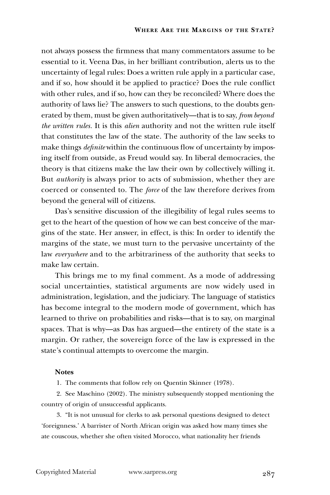not always possess the firmness that many commentators assume to be essential to it. Veena Das, in her brilliant contribution, alerts us to the uncertainty of legal rules: Does a written rule apply in a particular case, and if so, how should it be applied to practice? Does the rule conflict with other rules, and if so, how can they be reconciled? Where does the authority of laws lie? The answers to such questions, to the doubts generated by them, must be given authoritatively—that is to say, *from beyond the written rules.* It is this *alien* authority and not the written rule itself that constitutes the law of the state. The authority of the law seeks to make things *definite* within the continuous flow of uncertainty by imposing itself from outside, as Freud would say. In liberal democracies, the theory is that citizens make the law their own by collectively willing it. But *authority* is always prior to acts of submission, whether they are coerced or consented to. The *force* of the law therefore derives from beyond the general will of citizens.

Das's sensitive discussion of the illegibility of legal rules seems to get to the heart of the question of how we can best conceive of the margins of the state. Her answer, in effect, is this: In order to identify the margins of the state, we must turn to the pervasive uncertainty of the law *everywhere* and to the arbitrariness of the authority that seeks to make law certain.

This brings me to my final comment. As a mode of addressing social uncertainties, statistical arguments are now widely used in administration, legislation, and the judiciary. The language of statistics has become integral to the modern mode of government, which has learned to thrive on probabilities and risks—that is to say, on marginal spaces. That is why—as Das has argued—the entirety of the state is a margin. Or rather, the sovereign force of the law is expressed in the state's continual attempts to overcome the margin.

#### **Notes**

1. The comments that follow rely on Quentin Skinner (1978).

2. See Maschino (2002). The ministry subsequently stopped mentioning the country of origin of unsuccessful applicants.

3. "It is not unusual for clerks to ask personal questions designed to detect 'foreignness.' A barrister of North African origin was asked how many times she ate couscous, whether she often visited Morocco, what nationality her friends